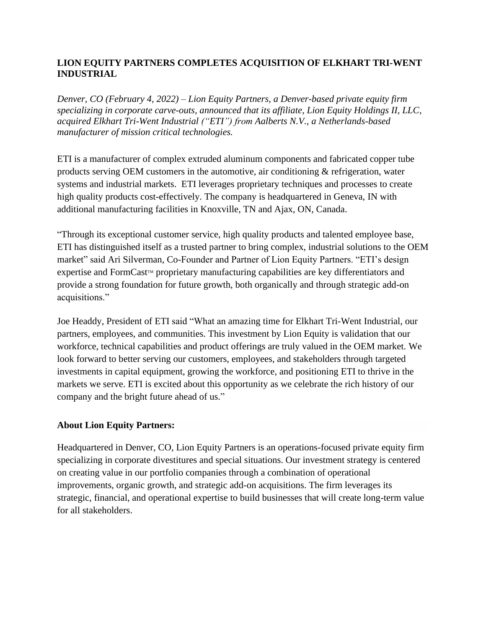## **LION EQUITY PARTNERS COMPLETES ACQUISITION OF ELKHART TRI-WENT INDUSTRIAL**

*Denver, CO (February 4, 2022) – Lion Equity Partners, a Denver-based private equity firm specializing in corporate carve-outs, announced that its affiliate, Lion Equity Holdings II, LLC, acquired Elkhart Tri-Went Industrial ("ETI") from Aalberts N.V., a Netherlands-based manufacturer of mission critical technologies.*

ETI is a manufacturer of complex extruded aluminum components and fabricated copper tube products serving OEM customers in the automotive, air conditioning & refrigeration, water systems and industrial markets. ETI leverages proprietary techniques and processes to create high quality products cost-effectively. The company is headquartered in Geneva, IN with additional manufacturing facilities in Knoxville, TN and Ajax, ON, Canada.

"Through its exceptional customer service, high quality products and talented employee base, ETI has distinguished itself as a trusted partner to bring complex, industrial solutions to the OEM market" said Ari Silverman, Co-Founder and Partner of Lion Equity Partners. "ETI's design expertise and FormCast™ proprietary manufacturing capabilities are key differentiators and provide a strong foundation for future growth, both organically and through strategic add-on acquisitions."

Joe Headdy, President of ETI said "What an amazing time for Elkhart Tri-Went Industrial, our partners, employees, and communities. This investment by Lion Equity is validation that our workforce, technical capabilities and product offerings are truly valued in the OEM market. We look forward to better serving our customers, employees, and stakeholders through targeted investments in capital equipment, growing the workforce, and positioning ETI to thrive in the markets we serve. ETI is excited about this opportunity as we celebrate the rich history of our company and the bright future ahead of us."

## **About Lion Equity Partners:**

Headquartered in Denver, CO, Lion Equity Partners is an operations-focused private equity firm specializing in corporate divestitures and special situations. Our investment strategy is centered on creating value in our portfolio companies through a combination of operational improvements, organic growth, and strategic add-on acquisitions. The firm leverages its strategic, financial, and operational expertise to build businesses that will create long-term value for all stakeholders.